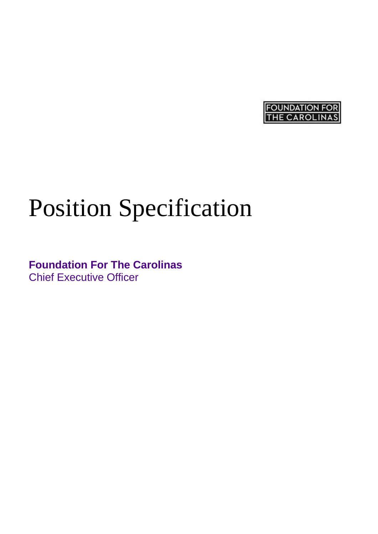

# Position Specification

**Foundation For The Carolinas** Chief Executive Officer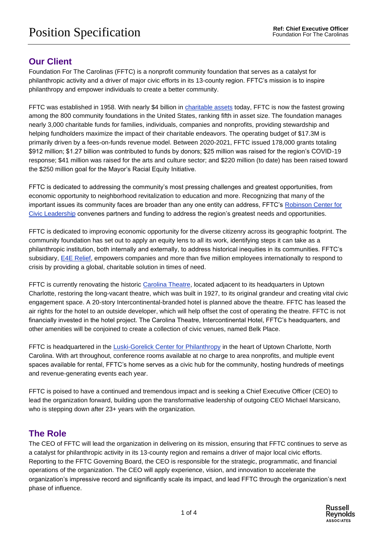## **Our Client**

Foundation For The Carolinas (FFTC) is a nonprofit community foundation that serves as a catalyst for philanthropic activity and a driver of major civic efforts in its 13-county region. FFTC's mission is to inspire philanthropy and empower individuals to create a better community.

FFTC was established in 1958. With nearly \$4 billion in [charitable assets](https://www.fftc.org/financials) today, FFTC is now the fastest growing among the 800 community foundations in the United States, ranking fifth in asset size. The foundation manages nearly 3,000 charitable funds for families, individuals, companies and nonprofits, providing stewardship and helping fundholders maximize the impact of their charitable endeavors. The operating budget of \$17.3M is primarily driven by a fees-on-funds revenue model. Between 2020-2021, FFTC issued 178,000 grants totaling \$912 million; \$1.27 billion was contributed to funds by donors; \$25 million was raised for the region's COVID-19 response; \$41 million was raised for the arts and culture sector; and \$220 million (to date) has been raised toward the \$250 million goal for the Mayor's Racial Equity Initiative.

FFTC is dedicated to addressing the community's most pressing challenges and greatest opportunities, from economic opportunity to neighborhood revitalization to education and more. Recognizing that many of the important issues its community faces are broader than any one entity can address, FFTC's [Robinson Center for](https://www.fftc.org/our_civic_leadership)  [Civic Leadership](https://www.fftc.org/our_civic_leadership) convenes partners and funding to address the region's greatest needs and opportunities.

FFTC is dedicated to improving economic opportunity for the diverse citizenry across its geographic footprint. The community foundation has set out to apply an equity lens to all its work, identifying steps it can take as a philanthropic institution, both internally and externally, to address historical inequities in its communities. FFTC's subsidiary, **E4E Relief**, empowers companies and more than five million employees internationally to respond to crisis by providing a global, charitable solution in times of need.

FFTC is currently renovating the historic [Carolina Theatre,](https://carolinatheatreclt.org/) located adjacent to its headquarters in Uptown Charlotte, restoring the long-vacant theatre, which was built in 1927, to its original grandeur and creating vital civic engagement space. A 20-story Intercontinental-branded hotel is planned above the theatre. FFTC has leased the air rights for the hotel to an outside developer, which will help offset the cost of operating the theatre. FFTC is not financially invested in the hotel project. The Carolina Theatre, Intercontinental Hotel, FFTC's headquarters, and other amenities will be conjoined to create a collection of civic venues, named Belk Place.

FFTC is headquartered in the [Luski-Gorelick Center for Philanthropy](https://www.fftc.org/luski-gorelick_center_for_philanthropy) in the heart of Uptown Charlotte, North Carolina. With art throughout, conference rooms available at no charge to area nonprofits, and multiple event spaces available for rental, FFTC's home serves as a civic hub for the community, hosting hundreds of meetings and revenue-generating events each year.

FFTC is poised to have a continued and tremendous impact and is seeking a Chief Executive Officer (CEO) to lead the organization forward, building upon the transformative leadership of outgoing CEO Michael Marsicano, who is stepping down after 23+ years with the organization.

## **The Role**

The CEO of FFTC will lead the organization in delivering on its mission, ensuring that FFTC continues to serve as a catalyst for philanthropic activity in its 13-county region and remains a driver of major local civic efforts. Reporting to the FFTC Governing Board, the CEO is responsible for the strategic, programmatic, and financial operations of the organization. The CEO will apply experience, vision, and innovation to accelerate the organization's impressive record and significantly scale its impact, and lead FFTC through the organization's next phase of influence.

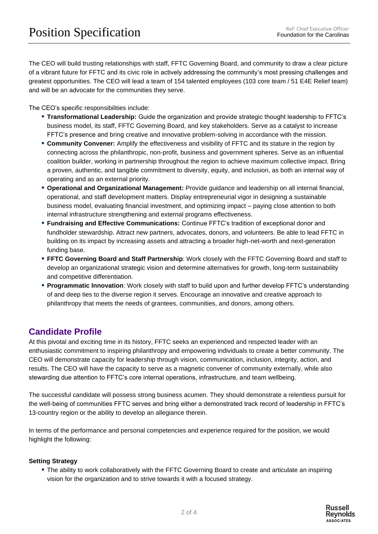The CEO will build trusting relationships with staff, FFTC Governing Board, and community to draw a clear picture of a vibrant future for FFTC and its civic role in actively addressing the community's most pressing challenges and greatest opportunities. The CEO will lead a team of 154 talented employees (103 core team / 51 E4E Relief team) and will be an advocate for the communities they serve.

The CEO's specific responsibilities include:

- **Transformational Leadership:** Guide the organization and provide strategic thought leadership to FFTC's business model, its staff, FFTC Governing Board, and key stakeholders. Serve as a catalyst to increase FFTC's presence and bring creative and innovative problem-solving in accordance with the mission.
- **Community Convener:** Amplify the effectiveness and visibility of FFTC and its stature in the region by connecting across the philanthropic, non-profit, business and government spheres. Serve as an influential coalition builder, working in partnership throughout the region to achieve maximum collective impact. Bring a proven, authentic, and tangible commitment to diversity, equity, and inclusion, as both an internal way of operating and as an external priority.
- **Operational and Organizational Management:** Provide guidance and leadership on all internal financial, operational, and staff development matters. Display entrepreneurial vigor in designing a sustainable business model, evaluating financial investment, and optimizing impact – paying close attention to both internal infrastructure strengthening and external programs effectiveness.
- **Eundraising and Effective Communications:** Continue FFTC's tradition of exceptional donor and fundholder stewardship. Attract new partners, advocates, donors, and volunteers. Be able to lead FFTC in building on its impact by increasing assets and attracting a broader high-net-worth and next-generation funding base.
- **FFTC Governing Board and Staff Partnership**: Work closely with the FFTC Governing Board and staff to develop an organizational strategic vision and determine alternatives for growth, long-term sustainability and competitive differentiation.
- **Programmatic Innovation**: Work closely with staff to build upon and further develop FFTC's understanding of and deep ties to the diverse region it serves. Encourage an innovative and creative approach to philanthropy that meets the needs of grantees, communities, and donors, among others.

## **Candidate Profile**

At this pivotal and exciting time in its history, FFTC seeks an experienced and respected leader with an enthusiastic commitment to inspiring philanthropy and empowering individuals to create a better community. The CEO will demonstrate capacity for leadership through vision, communication, inclusion, integrity, action, and results. The CEO will have the capacity to serve as a magnetic convener of community externally, while also stewarding due attention to FFTC's core internal operations, infrastructure, and team wellbeing.

The successful candidate will possess strong business acumen. They should demonstrate a relentless pursuit for the well-being of communities FFTC serves and bring either a demonstrated track record of leadership in FFTC's 13-country region or the ability to develop an allegiance therein.

In terms of the performance and personal competencies and experience required for the position, we would highlight the following:

## **Setting Strategy**

**The ability to work collaboratively with the FFTC Governing Board to create and articulate an inspiring** vision for the organization and to strive towards it with a focused strategy.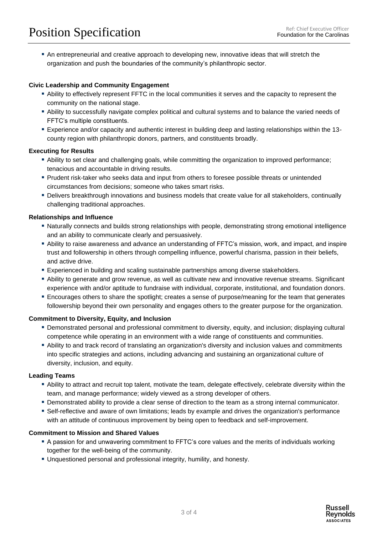▪ An entrepreneurial and creative approach to developing new, innovative ideas that will stretch the organization and push the boundaries of the community's philanthropic sector.

### **Civic Leadership and Community Engagement**

- Ability to effectively represent FFTC in the local communities it serves and the capacity to represent the community on the national stage.
- Ability to successfully navigate complex political and cultural systems and to balance the varied needs of FFTC's multiple constituents.
- Experience and/or capacity and authentic interest in building deep and lasting relationships within the 13 county region with philanthropic donors, partners, and constituents broadly.

#### **Executing for Results**

- Ability to set clear and challenging goals, while committing the organization to improved performance; tenacious and accountable in driving results.
- Prudent risk-taker who seeks data and input from others to foresee possible threats or unintended circumstances from decisions; someone who takes smart risks.
- Delivers breakthrough innovations and business models that create value for all stakeholders, continually challenging traditional approaches.

#### **Relationships and Influence**

- Naturally connects and builds strong relationships with people, demonstrating strong emotional intelligence and an ability to communicate clearly and persuasively.
- Ability to raise awareness and advance an understanding of FFTC's mission, work, and impact, and inspire trust and followership in others through compelling influence, powerful charisma, passion in their beliefs, and active drive.
- Experienced in building and scaling sustainable partnerships among diverse stakeholders.
- Ability to generate and grow revenue, as well as cultivate new and innovative revenue streams. Significant experience with and/or aptitude to fundraise with individual, corporate, institutional, and foundation donors.
- Encourages others to share the spotlight; creates a sense of purpose/meaning for the team that generates followership beyond their own personality and engages others to the greater purpose for the organization.

#### **Commitment to Diversity, Equity, and Inclusion**

- Demonstrated personal and professional commitment to diversity, equity, and inclusion; displaying cultural competence while operating in an environment with a wide range of constituents and communities.
- Ability to and track record of translating an organization's diversity and inclusion values and commitments into specific strategies and actions, including advancing and sustaining an organizational culture of diversity, inclusion, and equity.

#### **Leading Teams**

- Ability to attract and recruit top talent, motivate the team, delegate effectively, celebrate diversity within the team, and manage performance; widely viewed as a strong developer of others.
- **Demonstrated ability to provide a clear sense of direction to the team as a strong internal communicator.**
- Self-reflective and aware of own limitations; leads by example and drives the organization's performance with an attitude of continuous improvement by being open to feedback and self-improvement.

#### **Commitment to Mission and Shared Values**

- A passion for and unwavering commitment to FFTC's core values and the merits of individuals working together for the well-being of the community.
- **E** Unquestioned personal and professional integrity, humility, and honesty.